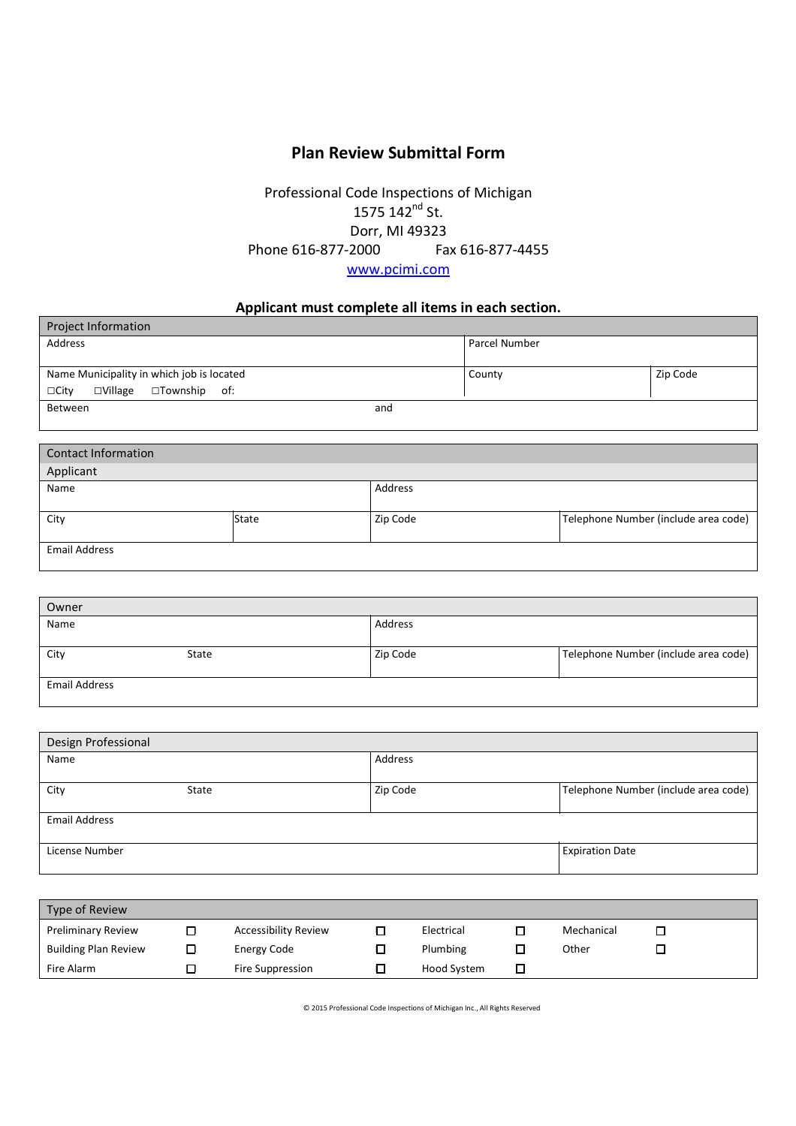## **Plan Review Submittal Form**

## Professional Code Inspections of Michigan 1575 142<sup>nd</sup> St. Dorr, MI 49323 Phone 616-877-2000 Fax 616-877-4455 www.pcimi.com

## **Applicant must complete all items in each section.**

| <b>Project Information</b>                                 |                      |          |  |
|------------------------------------------------------------|----------------------|----------|--|
| Address                                                    | <b>Parcel Number</b> |          |  |
|                                                            |                      |          |  |
| Name Municipality in which job is located                  | County               | Zip Code |  |
| $\square$ Township of:<br>$\square$ Village<br>$\Box$ City |                      |          |  |
| Between<br>and                                             |                      |          |  |
|                                                            |                      |          |  |

| Contact Information  |              |          |                                      |
|----------------------|--------------|----------|--------------------------------------|
| Applicant            |              |          |                                      |
| Name                 |              | Address  |                                      |
|                      |              |          |                                      |
| City                 | <b>State</b> | Zip Code | Telephone Number (include area code) |
|                      |              |          |                                      |
| <b>Email Address</b> |              |          |                                      |
|                      |              |          |                                      |

| Owner                |       |          |                                      |
|----------------------|-------|----------|--------------------------------------|
| Name                 |       | Address  |                                      |
|                      |       |          |                                      |
| City                 | State | Zip Code | Telephone Number (include area code) |
|                      |       |          |                                      |
| <b>Email Address</b> |       |          |                                      |
|                      |       |          |                                      |

| Design Professional  |       |          |                                      |  |
|----------------------|-------|----------|--------------------------------------|--|
| Name                 |       | Address  |                                      |  |
| City                 | State | Zip Code | Telephone Number (include area code) |  |
| <b>Email Address</b> |       |          |                                      |  |
| License Number       |       |          | <b>Expiration Date</b>               |  |

| Type of Review              |                             |                    |            |  |
|-----------------------------|-----------------------------|--------------------|------------|--|
| <b>Preliminary Review</b>   | <b>Accessibility Review</b> | Electrical         | Mechanical |  |
| <b>Building Plan Review</b> | Energy Code                 | Plumbing           | Other      |  |
| Fire Alarm                  | Fire Suppression            | <b>Hood System</b> |            |  |

© 2015 Professional Code Inspections of Michigan Inc., All Rights Reserved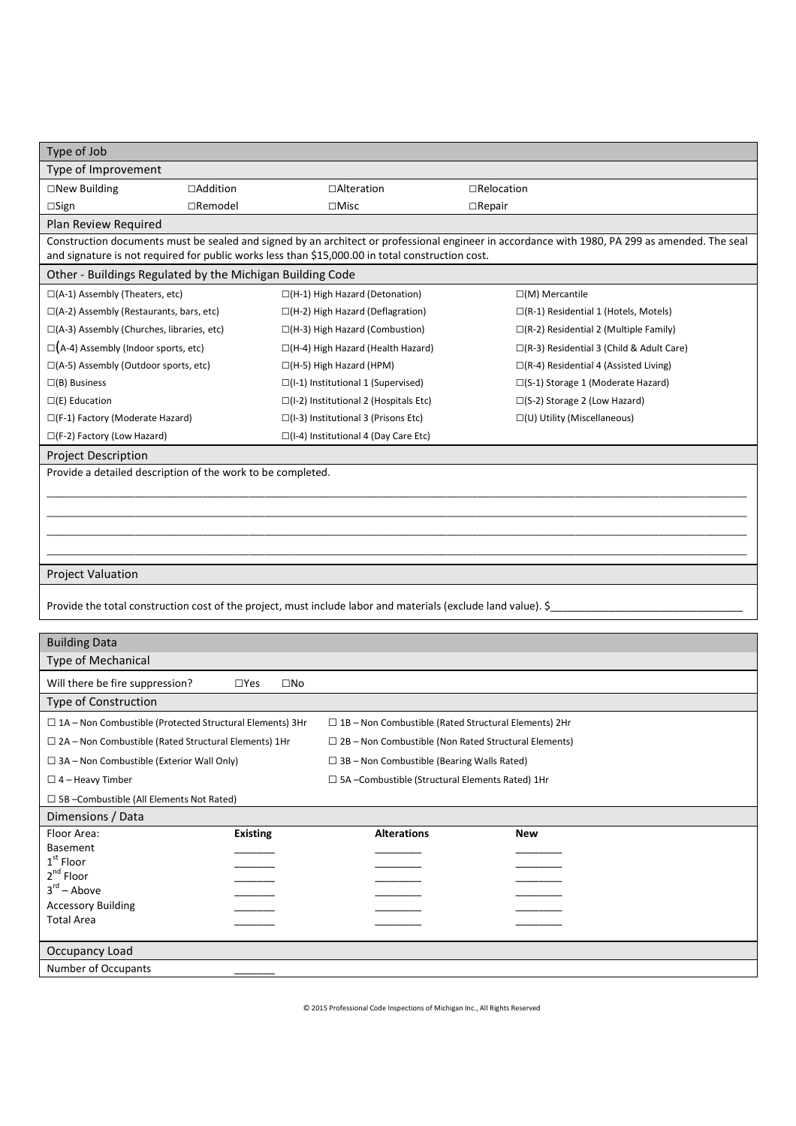| Type of Job                                                                                                                    |                                                                                                       |                                                                                                  |                                                                                                                                                |  |
|--------------------------------------------------------------------------------------------------------------------------------|-------------------------------------------------------------------------------------------------------|--------------------------------------------------------------------------------------------------|------------------------------------------------------------------------------------------------------------------------------------------------|--|
| Type of Improvement                                                                                                            |                                                                                                       |                                                                                                  |                                                                                                                                                |  |
| $\square$ New Building                                                                                                         | □Addition                                                                                             | □Alteration                                                                                      | $\Box$ Relocation                                                                                                                              |  |
| $\square$ Sign                                                                                                                 | $\Box$ Remodel                                                                                        | $\square$ Misc                                                                                   | $\Box$ Repair                                                                                                                                  |  |
| Plan Review Required                                                                                                           |                                                                                                       |                                                                                                  |                                                                                                                                                |  |
|                                                                                                                                |                                                                                                       |                                                                                                  | Construction documents must be sealed and signed by an architect or professional engineer in accordance with 1980, PA 299 as amended. The seal |  |
|                                                                                                                                |                                                                                                       | and signature is not required for public works less than \$15,000.00 in total construction cost. |                                                                                                                                                |  |
| Other - Buildings Regulated by the Michigan Building Code                                                                      |                                                                                                       |                                                                                                  |                                                                                                                                                |  |
| $\square$ (A-1) Assembly (Theaters, etc)                                                                                       |                                                                                                       | □(H-1) High Hazard (Detonation)                                                                  | $\square(M)$ Mercantile                                                                                                                        |  |
| $\square$ (A-2) Assembly (Restaurants, bars, etc)                                                                              |                                                                                                       | $\Box$ (H-2) High Hazard (Deflagration)                                                          | $\Box$ (R-1) Residential 1 (Hotels, Motels)                                                                                                    |  |
| □(A-3) Assembly (Churches, libraries, etc)                                                                                     |                                                                                                       | $\Box$ (H-3) High Hazard (Combustion)                                                            | $\Box$ (R-2) Residential 2 (Multiple Family)                                                                                                   |  |
| $\square$ (A-4) Assembly (Indoor sports, etc)                                                                                  |                                                                                                       | □(H-4) High Hazard (Health Hazard)                                                               | $\Box$ (R-3) Residential 3 (Child & Adult Care)                                                                                                |  |
| □(A-5) Assembly (Outdoor sports, etc)                                                                                          |                                                                                                       | $\Box$ (H-5) High Hazard (HPM)                                                                   | $\Box$ (R-4) Residential 4 (Assisted Living)                                                                                                   |  |
| $\square$ (B) Business                                                                                                         |                                                                                                       | $\square$ (I-1) Institutional 1 (Supervised)                                                     | $\square$ (S-1) Storage 1 (Moderate Hazard)                                                                                                    |  |
| $\square$ (E) Education                                                                                                        |                                                                                                       | $\square$ (I-2) Institutional 2 (Hospitals Etc)                                                  | $\square$ (S-2) Storage 2 (Low Hazard)                                                                                                         |  |
| $\square$ (F-1) Factory (Moderate Hazard)                                                                                      |                                                                                                       | $\Box$ (I-3) Institutional 3 (Prisons Etc)                                                       | □(U) Utility (Miscellaneous)                                                                                                                   |  |
| $\square$ (F-2) Factory (Low Hazard)                                                                                           |                                                                                                       | □(I-4) Institutional 4 (Day Care Etc)                                                            |                                                                                                                                                |  |
| <b>Project Description</b>                                                                                                     |                                                                                                       |                                                                                                  |                                                                                                                                                |  |
| Provide a detailed description of the work to be completed.                                                                    |                                                                                                       |                                                                                                  |                                                                                                                                                |  |
|                                                                                                                                |                                                                                                       |                                                                                                  |                                                                                                                                                |  |
|                                                                                                                                |                                                                                                       |                                                                                                  |                                                                                                                                                |  |
|                                                                                                                                |                                                                                                       |                                                                                                  |                                                                                                                                                |  |
|                                                                                                                                |                                                                                                       |                                                                                                  |                                                                                                                                                |  |
|                                                                                                                                |                                                                                                       |                                                                                                  |                                                                                                                                                |  |
| <b>Project Valuation</b>                                                                                                       |                                                                                                       |                                                                                                  |                                                                                                                                                |  |
|                                                                                                                                |                                                                                                       |                                                                                                  | Provide the total construction cost of the project, must include labor and materials (exclude land value). \$                                  |  |
|                                                                                                                                |                                                                                                       |                                                                                                  |                                                                                                                                                |  |
| <b>Building Data</b>                                                                                                           |                                                                                                       |                                                                                                  |                                                                                                                                                |  |
| Type of Mechanical                                                                                                             |                                                                                                       |                                                                                                  |                                                                                                                                                |  |
| Will there be fire suppression?                                                                                                | $\Box$ Yes                                                                                            | $\square$ No                                                                                     |                                                                                                                                                |  |
| <b>Type of Construction</b>                                                                                                    |                                                                                                       |                                                                                                  |                                                                                                                                                |  |
|                                                                                                                                |                                                                                                       |                                                                                                  |                                                                                                                                                |  |
| $\Box$ 1A - Non Combustible (Protected Structural Elements) 3Hr<br>$\Box$ 1B – Non Combustible (Rated Structural Elements) 2Hr |                                                                                                       |                                                                                                  |                                                                                                                                                |  |
| $\Box$ 2A – Non Combustible (Rated Structural Elements) 1Hr<br>$\Box$ 2B – Non Combustible (Non Rated Structural Elements)     |                                                                                                       |                                                                                                  |                                                                                                                                                |  |
|                                                                                                                                | $\Box$ 3A – Non Combustible (Exterior Wall Only)<br>$\Box$ 3B – Non Combustible (Bearing Walls Rated) |                                                                                                  |                                                                                                                                                |  |
| $\Box$ 4 – Heavy Timber                                                                                                        |                                                                                                       |                                                                                                  | $\Box$ 5A -Combustible (Structural Elements Rated) 1Hr                                                                                         |  |
| □ 5B - Combustible (All Elements Not Rated)                                                                                    |                                                                                                       |                                                                                                  |                                                                                                                                                |  |
| Dimensions / Data<br>Floor Area:                                                                                               |                                                                                                       | <b>Alterations</b>                                                                               |                                                                                                                                                |  |
| <b>Basement</b>                                                                                                                | <b>Existing</b>                                                                                       |                                                                                                  | New                                                                                                                                            |  |
| $1st$ Floor                                                                                                                    |                                                                                                       |                                                                                                  |                                                                                                                                                |  |
| $2^{nd}$ Floor                                                                                                                 |                                                                                                       |                                                                                                  |                                                                                                                                                |  |
| $3^{\text{rd}}$ – Above                                                                                                        |                                                                                                       |                                                                                                  |                                                                                                                                                |  |
| <b>Accessory Building</b>                                                                                                      |                                                                                                       |                                                                                                  |                                                                                                                                                |  |
| <b>Total Area</b>                                                                                                              |                                                                                                       |                                                                                                  |                                                                                                                                                |  |
| Occupancy Load                                                                                                                 |                                                                                                       |                                                                                                  |                                                                                                                                                |  |
| Number of Occupants                                                                                                            |                                                                                                       |                                                                                                  |                                                                                                                                                |  |

© 2015 Professional Code Inspections of Michigan Inc., All Rights Reserved